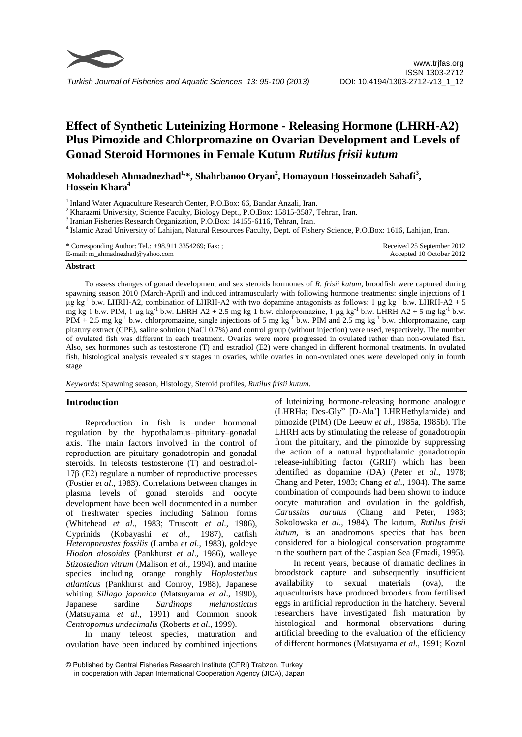

# **Effect of Synthetic Luteinizing Hormone - Releasing Hormone (LHRH-A2) Plus Pimozide and Chlorpromazine on Ovarian Development and Levels of Gonad Steroid Hormones in Female Kutum** *Rutilus frisii kutum*

**Mohaddeseh Ahmadnezhad1,\*, Shahrbanoo Oryan<sup>2</sup> , Homayoun Hosseinzadeh Sahafi<sup>3</sup> , Hossein Khara<sup>4</sup>**

<sup>1</sup> Inland Water Aquaculture Research Center, P.O.Box: 66, Bandar Anzali, Iran.

<sup>2</sup> Kharazmi University, Science Faculty, Biology Dept., P.O.Box: 15815-3587, Tehran, Iran.

<sup>3</sup> Iranian Fisheries Research Organization, P.O.Box: 14155-6116, Tehran, Iran.

4 Islamic Azad University of Lahijan, Natural Resources Faculty, Dept. of Fishery Science, P.O.Box: 1616, Lahijan, Iran.

| * Corresponding Author: Tel.: +98.911 3354269; Fax: ; | Received 25 September 2012 |
|-------------------------------------------------------|----------------------------|
| E-mail: m_ahmadnezhad@yahoo.com                       | Accepted 10 October 2012   |

## **Abstract**

To assess changes of gonad development and sex steroids hormones of *R. frisii kutum*, broodfish were captured during spawning season 2010 (March-April) and induced intramuscularly with following hormone treatments: single injections of 1  $\mu$ g kg<sup>-1</sup> b.w. LHRH-A2, combination of LHRH-A2 with two dopamine antagonists as follows: 1  $\mu$ g kg<sup>-1</sup> b.w. LHRH-A2 + 5 mg kg-1 b.w. PIM, 1 µg kg<sup>-1</sup> b.w. LHRH-A2 + 2.5 mg kg-1 b.w. chlorpromazine, 1 µg kg<sup>-1</sup> b.w. LHRH-A2 + 5 mg kg<sup>-1</sup> b.w.  $PIM + 2.5$  mg kg<sup>-1</sup> b.w. chlorpromazine, single injections of 5 mg kg<sup>-1</sup> b.w. PIM and 2.5 mg kg<sup>-1</sup> b.w. chlorpromazine, carp pitatury extract (CPE), saline solution (NaCl 0.7%) and control group (without injection) were used, respectively. The number of ovulated fish was different in each treatment. Ovaries were more progressed in ovulated rather than non-ovulated fish. Also, sex hormones such as testosterone (T) and estradiol (E2) were changed in different hormonal treatments. In ovulated fish, histological analysis revealed six stages in ovaries, while ovaries in non-ovulated ones were developed only in fourth stage

*Keywords*: Spawning season, Histology, Steroid profiles, *Rutilus frisii kutum*.

## **Introduction**

Reproduction in fish is under hormonal regulation by the hypothalamus–pituitary–gonadal axis. The main factors involved in the control of reproduction are pituitary gonadotropin and gonadal steroids. In teleosts testosterone (T) and oestradiol-17β (E2) regulate a number of reproductive processes (Fostier *et al*., 1983). Correlations between changes in plasma levels of gonad steroids and oocyte development have been well documented in a number of freshwater species including Salmon forms (Whitehead *et al*., 1983; Truscott *et al*., 1986), Cyprinids (Kobayashi *et al*., 1987), catfish *Heteropneustes fossilis* (Lamba *et al*., 1983), goldeye *Hiodon alosoides* (Pankhurst *et al*., 1986), walleye *Stizostedion vitrum* (Malison *et al*., 1994), and marine species including orange roughly *Hoplostethus atlanticus* (Pankhurst and Conroy, 1988), Japanese whiting *Sillago japonica* (Matsuyama *et al*., 1990), Japanese sardine *Sardinops melanostictus*  (Matsuyama *et al*., 1991) and Common snook *Centropomus undecimalis* (Roberts *et al*., 1999).

In many teleost species, maturation and ovulation have been induced by combined injections

of luteinizing hormone-releasing hormone analogue (LHRHa; Des-Gly" [D-Ala'] LHRHethylamide) and pimozide (PIM) (De Leeuw *et al*., 1985a, 1985b). The LHRH acts by stimulating the release of gonadotropin from the pituitary, and the pimozide by suppressing the action of a natural hypothalamic gonadotropin release-inhibiting factor (GRIF) which has been identified as dopamine (DA) (Peter *et al*., 1978; Chang and Peter, 1983; Chang *et al*., 1984). The same combination of compounds had been shown to induce oocyte maturation and ovulation in the goldfish, *Carussius aurutus* (Chang and Peter, 1983; Sokolowska *et al*., 1984). The kutum, *Rutilus frisii kutum*, is an anadromous species that has been considered for a biological conservation programme in the southern part of the Caspian Sea (Emadi, 1995).

In recent years, because of dramatic declines in broodstock capture and subsequently insufficient availability to sexual materials (ova), the aquaculturists have produced brooders from fertilised eggs in artificial reproduction in the hatchery. Several researchers have investigated fish maturation by histological and hormonal observations during artificial breeding to the evaluation of the efficiency of different hormones (Matsuyama *et al*., 1991; Kozul

<sup>©</sup> Published by Central Fisheries Research Institute (CFRI) Trabzon, Turkey in cooperation with Japan International Cooperation Agency (JICA), Japan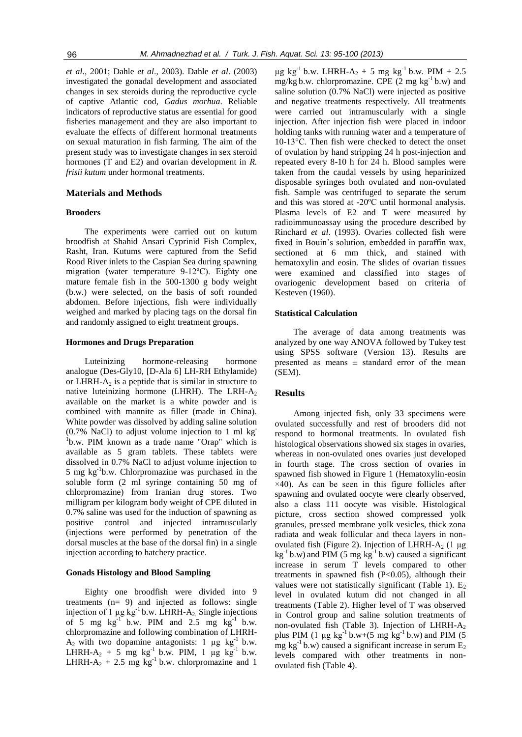*et al*., 2001; Dahle *et al*., 2003). Dahle *et al*. (2003) investigated the gonadal development and associated changes in sex steroids during the reproductive cycle of captive Atlantic cod, *Gadus morhua*. Reliable indicators of reproductive status are essential for good fisheries management and they are also important to evaluate the effects of different hormonal treatments on sexual maturation in fish farming. The aim of the present study was to investigate changes in sex steroid hormones (T and E2) and ovarian development in *R. frisii kutum* under hormonal treatments.

#### **Materials and Methods**

#### **Brooders**

The experiments were carried out on kutum broodfish at Shahid Ansari Cyprinid Fish Complex, Rasht, Iran. Kutums were captured from the Sefid Rood River inlets to the Caspian Sea during spawning migration (water temperature 9-12ºC). Eighty one mature female fish in the 500-1300 g body weight (b.w.) were selected, on the basis of soft rounded abdomen. Before injections, fish were individually weighed and marked by placing tags on the dorsal fin and randomly assigned to eight treatment groups.

## **Hormones and Drugs Preparation**

Luteinizing hormone-releasing hormone analogue (Des-Gly10, [D-Ala 6] LH-RH Ethylamide) or LHRH- $A_2$  is a peptide that is similar in structure to native luteinizing hormone (LHRH). The LRH- $A_2$ available on the market is a white powder and is combined with mannite as filler (made in China). White powder was dissolved by adding saline solution (0.7% NaCl) to adjust volume injection to 1 ml kg-<sup>1</sup>b.w. PIM known as a trade name "Orap" which is available as 5 gram tablets. These tablets were dissolved in 0.7% NaCl to adjust volume injection to 5 mg kg-1 b.w. Chlorpromazine was purchased in the soluble form (2 ml syringe containing 50 mg of chlorpromazine) from Iranian drug stores. Two milligram per kilogram body weight of CPE diluted in 0.7% saline was used for the induction of spawning as positive control and injected intramuscularly (injections were performed by penetration of the dorsal muscles at the base of the dorsal fin) in a single injection according to hatchery practice.

## **Gonads Histology and Blood Sampling**

Eighty one broodfish were divided into 9 treatments (n= 9) and injected as follows: single injection of 1  $\mu$ g kg<sup>-1</sup> b.w. LHRH-A<sub>2</sub>. Single injections of 5 mg  $kg^{-1}$  b.w. PIM and 2.5 mg  $kg^{-1}$  b.w. chlorpromazine and following combination of LHRH- $A_2$  with two dopamine antagonists: 1  $\mu$ g kg<sup>-1</sup> b.w. LHRH- $A_2$  + 5 mg kg<sup>-1</sup> b.w. PIM, 1 µg kg<sup>-1</sup> b.w. LHRH- $A_2$  + 2.5 mg kg<sup>-1</sup> b.w. chlorpromazine and 1

 $\mu$ g kg<sup>-1</sup> b.w. LHRH-A<sub>2</sub> + 5 mg kg<sup>-1</sup> b.w. PIM + 2.5 mg/kg b.w. chlorpromazine. CPE  $(2 \text{ mg kg}^{-1} \text{ b.w})$  and saline solution (0.7% NaCl) were injected as positive and negative treatments respectively. All treatments were carried out intramuscularly with a single injection. After injection fish were placed in indoor holding tanks with running water and a temperature of 10-13°C. Then fish were checked to detect the onset of ovulation by hand stripping 24 h post-injection and repeated every 8-10 h for 24 h. Blood samples were taken from the caudal vessels by using heparinized disposable syringes both ovulated and non-ovulated fish. Sample was centrifuged to separate the serum and this was stored at -20ºC until hormonal analysis. Plasma levels of E2 and T were measured by radioimmunoassay using the procedure described by Rinchard *et al*. (1993). Ovaries collected fish were fixed in Bouin's solution, embedded in paraffin wax, sectioned at 6 mm thick, and stained with hematoxylin and eosin. The slides of ovarian tissues were examined and classified into stages of ovariogenic development based on criteria of Kesteven (1960).

## **Statistical Calculation**

The average of data among treatments was analyzed by one way ANOVA followed by Tukey test using SPSS software (Version 13). Results are presented as means  $\pm$  standard error of the mean (SEM).

## **Results**

Among injected fish, only 33 specimens were ovulated successfully and rest of brooders did not respond to hormonal treatments. In ovulated fish histological observations showed six stages in ovaries, whereas in non-ovulated ones ovaries just developed in fourth stage. The cross section of ovaries in spawned fish showed in Figure 1 (Hematoxylin-eosin  $\times$ 40). As can be seen in this figure follicles after spawning and ovulated oocyte were clearly observed, also a class 111 oocyte was visible. Histological picture, cross section showed compressed yolk granules, pressed membrane yolk vesicles, thick zona radiata and weak follicular and theca layers in nonovulated fish (Figure 2). Injection of LHRH- $A_2$  (1 µg  $kg^{-1}$  b.w) and PIM (5 mg kg<sup>-1</sup> b.w) caused a significant increase in serum T levels compared to other treatments in spawned fish (P<0.05), although their values were not statistically significant (Table 1).  $E_2$ level in ovulated kutum did not changed in all treatments (Table 2). Higher level of T was observed in Control group and saline solution treatments of non-ovulated fish (Table 3). Injection of LHRH-A<sup>2</sup> plus PIM (1  $\mu$ g kg<sup>-1</sup> b.w+(5 mg kg<sup>-1</sup> b.w) and PIM (5 mg kg<sup>-1</sup> b.w) caused a significant increase in serum  $E_2$ levels compared with other treatments in nonovulated fish (Table 4).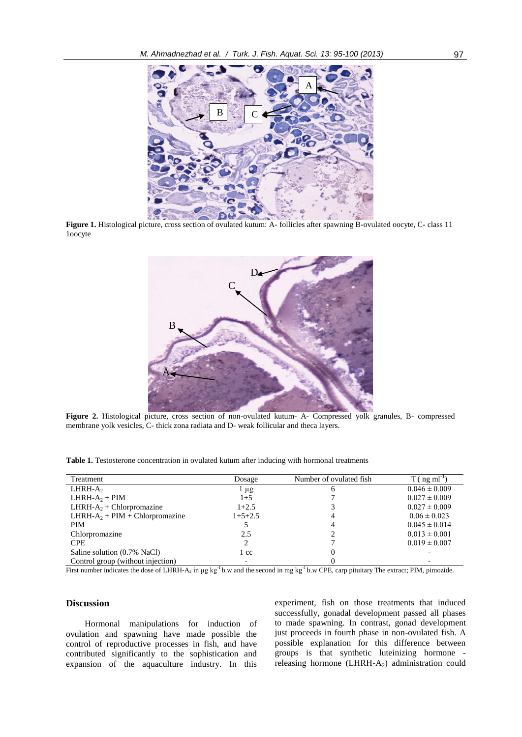

Figure 1. Histological picture, cross section of ovulated kutum: A- follicles after spawning B-ovulated oocyte, C- class 11 1oocyte



**Figure 2.** Histological picture, cross section of non-ovulated kutum- A- Compressed yolk granules, B- compressed membrane yolk vesicles, C- thick zona radiata and D- weak follicular and theca layers.

|  |  | Table 1. Testosterone concentration in ovulated kutum after inducing with hormonal treatments |  |  |  |  |  |  |
|--|--|-----------------------------------------------------------------------------------------------|--|--|--|--|--|--|
|--|--|-----------------------------------------------------------------------------------------------|--|--|--|--|--|--|

| Treatment                                  | Dosage    | Number of ovulated fish | $T($ ng m $I^{-1}$ |
|--------------------------------------------|-----------|-------------------------|--------------------|
| $LHRH-A$                                   | l µg      |                         | $0.046 \pm 0.009$  |
| LHRH- $A_2$ + PIM                          | $1+5$     |                         | $0.027 \pm 0.009$  |
| LHRH-A <sub>2</sub> + Chlorpromazine       | $1+2.5$   |                         | $0.027 \pm 0.009$  |
| LHRH-A <sub>2</sub> + PIM + Chlorpromazine | $1+5+2.5$ |                         | $0.06 \pm 0.023$   |
| <b>PIM</b>                                 |           |                         | $0.045 \pm 0.014$  |
| Chlorpromazine                             | 2.5       |                         | $0.013 \pm 0.001$  |
| <b>CPE</b>                                 |           |                         | $0.019 \pm 0.007$  |
| Saline solution (0.7% NaCl)                | l cc      |                         |                    |
| Control group (without injection)          |           |                         |                    |

First number indicates the dose of LHRH-A<sub>2</sub> in  $\mu$ g kg<sup>-1</sup> b.w and the second in mg kg<sup>-1</sup> b.w CPE, carp pituitary The extract; PIM, pimozide.

## **Discussion**

Hormonal manipulations for induction of ovulation and spawning have made possible the control of reproductive processes in fish, and have contributed significantly to the sophistication and expansion of the aquaculture industry. In this

experiment, fish on those treatments that induced successfully, gonadal development passed all phases to made spawning. In contrast, gonad development just proceeds in fourth phase in non-ovulated fish. A possible explanation for this difference between groups is that synthetic luteinizing hormone releasing hormone  $(LHRH-A_2)$  administration could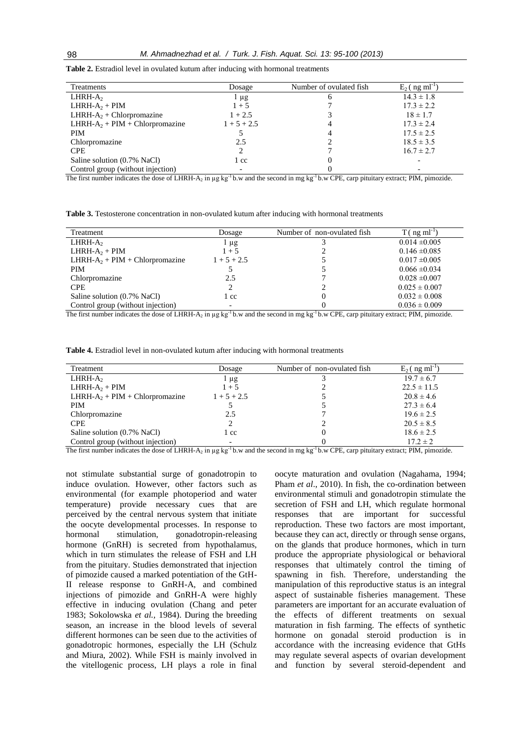| Treatments                                 | Dosage           | Number of ovulated fish | $E_2$ (ng ml <sup>-1</sup> |
|--------------------------------------------|------------------|-------------------------|----------------------------|
| $LHRH-A$                                   | $\frac{1}{2}$ µg |                         | $14.3 \pm 1.8$             |
| $LHRH-A2 + PIM$                            | $1 + 5$          |                         | $17.3 \pm 2.2$             |
| LHRH- $A_2$ + Chlorpromazine               | $1 + 2.5$        |                         | $18 \pm 1.7$               |
| LHRH-A <sub>2</sub> + PIM + Chlorpromazine | $1 + 5 + 2.5$    |                         | $17.3 \pm 2.4$             |
| <b>PIM</b>                                 |                  |                         | $17.5 \pm 2.5$             |
| Chlorpromazine                             | 2.5              |                         | $18.5 \pm 3.5$             |
| <b>CPE</b>                                 |                  |                         | $16.7 \pm 2.7$             |
| Saline solution (0.7% NaCl)                | 1 cc             |                         |                            |
| Control group (without injection)          |                  |                         |                            |

**Table 2.** Estradiol level in ovulated kutum after inducing with hormonal treatments

The first number indicates the dose of LHRH-A<sub>2</sub> in  $\mu$ g kg<sup>-1</sup> b.w and the second in mg kg<sup>-1</sup> b.w CPE, carp pituitary extract; PIM, pimozide.

**Table 3.** Testosterone concentration in non-ovulated kutum after inducing with hormonal treatments

| Treatment                          | Dosage        | Number of non-ovulated fish | $T($ ng m $I^{-1}$ |
|------------------------------------|---------------|-----------------------------|--------------------|
| $LHRH-A$                           | μg            |                             | $0.014 \pm 0.005$  |
| LHRH- $A_2$ + PIM                  | $1 + 5$       |                             | $0.146 \pm 0.085$  |
| LHRH- $A_2$ + PIM + Chlorpromazine | $1 + 5 + 2.5$ |                             | $0.017 \pm 0.005$  |
| <b>PIM</b>                         |               |                             | $0.066 \pm 0.034$  |
| Chlorpromazine                     | 2.5           |                             | $0.028 \pm 0.007$  |
| <b>CPE</b>                         |               |                             | $0.025 \pm 0.007$  |
| Saline solution (0.7% NaCl)        | l cc          |                             | $0.032 \pm 0.008$  |
| Control group (without injection)  |               |                             | $0.036 \pm 0.009$  |

The first number indicates the dose of LHRH-A<sub>2</sub> in µg kg<sup>-1</sup> b.w and the second in mg kg<sup>-1</sup> b.w CPE, carp pituitary extract; PIM, pimozide.

**Table 4.** Estradiol level in non-ovulated kutum after inducing with hormonal treatments

| Treatment                          | Dosage        | Number of non-ovulated fish | $E_2$ ( ng ml <sup>-1</sup> |
|------------------------------------|---------------|-----------------------------|-----------------------------|
| $LHRH-A$                           | l μg          |                             | $19.7 \pm 6.7$              |
| LHRH- $A_2$ + PIM                  | $1 + 5$       |                             | $22.5 \pm 11.5$             |
| LHRH- $A_2$ + PIM + Chlorpromazine | $1 + 5 + 2.5$ |                             | $20.8 \pm 4.6$              |
| <b>PIM</b>                         |               |                             | $27.3 \pm 6.4$              |
| Chlorpromazine                     | 2.5           |                             | $19.6 \pm 2.5$              |
| <b>CPE</b>                         |               |                             | $20.5 \pm 8.5$              |
| Saline solution (0.7% NaCl)        | . cc          | O                           | $18.6 \pm 2.5$              |
| Control group (without injection)  |               |                             | $17.2 \pm 2$                |

The first number indicates the dose of LHRH-A<sub>2</sub> in µg kg<sup>-1</sup> b.w and the second in mg kg<sup>-1</sup> b.w CPE, carp pituitary extract; PIM, pimozide.

not stimulate substantial surge of gonadotropin to induce ovulation. However, other factors such as environmental (for example photoperiod and water temperature) provide necessary cues that are perceived by the central nervous system that initiate the oocyte developmental processes. In response to hormonal stimulation, gonadotropin-releasing hormone (GnRH) is secreted from hypothalamus, which in turn stimulates the release of FSH and LH from the pituitary. Studies demonstrated that injection of pimozide caused a marked potentiation of the GtH-II release response to GnRH-A, and combined injections of pimozide and GnRH-A were highly effective in inducing ovulation (Chang and peter 1983; Sokolowska *et al.,* 1984). During the breeding season, an increase in the blood levels of several different hormones can be seen due to the activities of gonadotropic hormones, especially the LH (Schulz and Miura, 2002). While FSH is mainly involved in the vitellogenic process, LH plays a role in final

oocyte maturation and ovulation (Nagahama, 1994; Pham *et al*., 2010). In fish, the co-ordination between environmental stimuli and gonadotropin stimulate the secretion of FSH and LH, which regulate hormonal responses that are important for successful reproduction. These two factors are most important, because they can act, directly or through sense organs, on the glands that produce hormones, which in turn produce the appropriate physiological or behavioral responses that ultimately control the timing of spawning in fish. Therefore, understanding the manipulation of this reproductive status is an integral aspect of sustainable fisheries management. These parameters are important for an accurate evaluation of the effects of different treatments on sexual maturation in fish farming. The effects of synthetic hormone on gonadal steroid production is in accordance with the increasing evidence that GtHs may regulate several aspects of ovarian development and function by several steroid-dependent and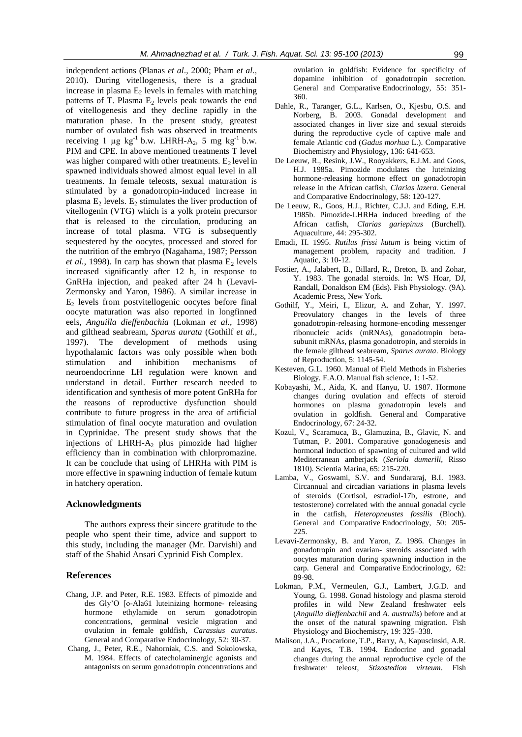independent actions (Planas *et al*., 2000; Pham *et al.,* 2010). During vitellogenesis, there is a gradual increase in plasma  $E_2$  levels in females with matching patterns of T. Plasma  $E_2$  levels peak towards the end of vitellogenesis and they decline rapidly in the maturation phase. In the present study, greatest number of ovulated fish was observed in treatments receiving 1  $\mu$ g kg<sup>-1</sup> b.w. LHRH-A<sub>2</sub>, 5 mg kg<sup>-1</sup> b.w. PIM and CPE. In above mentioned treatments T level was higher compared with other treatments.  $E_2$  level in spawned individuals showed almost equal level in all treatments. In female teleosts, sexual maturation is stimulated by a gonadotropin-induced increase in plasma  $E_2$  levels.  $E_2$  stimulates the liver production of vitellogenin (VTG) which is a yolk protein precursor that is released to the circulation, producing an increase of total plasma. VTG is subsequently sequestered by the oocytes, processed and stored for the nutrition of the embryo (Nagahama, 1987; Persson *et al.,* 1998). In carp has shown that plasma  $E_2$  levels increased significantly after 12 h, in response to GnRHa injection, and peaked after 24 h (Levavi-Zermonsky and Yaron, 1986). A similar increase in  $E<sub>2</sub>$  levels from postvitellogenic oocytes before final oocyte maturation was also reported in longfinned eels, *Anguilla dieffenbachia* (Lokman *et al.,* 1998) and gilthead seabream, *Sparus aurata* (Gothilf *et al.,* 1997). The development of methods using hypothalamic factors was only possible when both stimulation and inhibition mechanisms of neuroendocrinne LH regulation were known and understand in detail. Further research needed to identification and synthesis of more potent GnRHa for the reasons of reproductive dysfunction should contribute to future progress in the area of artificial stimulation of final oocyte maturation and ovulation in Cyprinidae. The present study shows that the injections of LHRH- $A_2$  plus pimozide had higher efficiency than in combination with chlorpromazine. It can be conclude that using of LHRHa with PIM is more effective in spawning induction of female kutum in hatchery operation.

# **Acknowledgments**

The authors express their sincere gratitude to the people who spent their time, advice and support to this study, including the manager (Mr. Darvishi) and staff of the Shahid Ansari Cyprinid Fish Complex.

## **References**

- Chang, J.P. and Peter, R.E. 1983. Effects of pimozide and des Gly'O [o-Ala61 luteinizing hormone- releasing hormone ethylamide on serum gonadotropin concentrations, germinal vesicle migration and ovulation in female goldfish, *Carassius auratus*. General and Comparative Endocrinology, 52: 30-37.
- Chang, J., Peter, R.E., Nahorniak, C.S. and Sokolowska, M. 1984. Effects of catecholaminergic agonists and antagonists on serum gonadotropin concentrations and

ovulation in goldfish: Evidence for specificity of dopamine inhibition of gonadotropin secretion. General and Comparative Endocrinology, 55: 351- 360.

- Dahle, R., Taranger, G.L., Karlsen, O., Kjesbu, O.S. and Norberg, B. 2003. Gonadal development and associated changes in liver size and sexual steroids during the reproductive cycle of captive male and female Atlantic cod (*Gadus morhua* L.). Comparative Biochemistry and Physiology, 136: 641-653.
- De Leeuw, R., Resink, J.W., Rooyakkers, E.J.M. and Goos, H.J. 1985a. Pimozide modulates the luteinizing hormone-releasing hormone effect on gonadotropin release in the African catfish, *Clarias lazera.* General and Comparative Endocrinology, 58: 120-127.
- De Leeuw, R., Goos, H.J., Richter, C.J.J. and Eding, E.H. 1985b. Pimozide-LHRHa induced breeding of the African catfish, *Clarias gariepinus* (Burchell). Aquaculture, 44: 295-302.
- Emadi, H. 1995. *Rutilus frissi kutum* is being victim of management problem, rapacity and tradition. J Aquatic, 3: 10**-**12.
- Fostier, A., Jalabert, B., Billard, R., Breton, B. and Zohar, Y. 1983. The gonadal steroids. In: WS Hoar, DJ, Randall, Donaldson EM (Eds). Fish Physiology. (9A). Academic Press, New York.
- Gothilf, Y., Meiri, I., Elizur, A. and Zohar, Y. 1997. Preovulatory changes in the levels of three gonadotropin-releasing hormone-encoding messenger ribonucleic acids (mRNAs), gonadotropin betasubunit mRNAs, plasma gonadotropin, and steroids in the female gilthead seabream, *Sparus aurata*. Biology of Reproduction, 5: 1145-54.
- Kesteven, G.L. 1960. Manual of Field Methods in Fisheries Biology. F.A.O. Manual fish science, 1: 1-52.
- Kobayashi, M., Aida, K. and Hanyu, U. 1987. Hormone changes during ovulation and effects of steroid hormones on plasma gonadotropin levels and ovulation in goldfish. General and Comparative Endocrinology, 67: 24-32.
- Kozul, V., Scaramuca, B., Glamuzina, B., Glavic, N. and Tutman, P. 2001. Comparative gonadogenesis and hormonal induction of spawning of cultured and wild Mediterranean amberjack (*Seriola dumerili*, Risso 1810). Scientia Marina, 65: 215-220.
- Lamba, V., Goswami, S.V. and Sundararaj, B.I. 1983. Circannual and circadian variations in plasma levels of steroids (Cortisol, estradiol-17b, estrone, and testosterone) correlated with the annual gonadal cycle in the catfish, *Heteropneustes fossilis* (Bloch). General and Comparative Endocrinology, 50: 205- 225.
- Levavi-Zermonsky, B. and Yaron, Z. 1986. Changes in gonadotropin and ovarian- steroids associated with oocytes maturation during spawning induction in the carp. General and Comparative Endocrinology, 62: 89-98.
- Lokman, P.M., Vermeulen, G.J., Lambert, J.G.D. and Young, G. 1998. Gonad histology and plasma steroid profiles in wild New Zealand freshwater eels (*Anguilla dieffenbachii* and *A. australis*) before and at the onset of the natural spawning migration. Fish Physiology and Biochemistry, 19: 325–338.
- Malison, J.A., Procarione, T.P., Barry, A, Kapuscinski, A.R. and Kayes, T.B. 1994. Endocrine and gonadal changes during the annual reproductive cycle of the freshwater teleost, *Stizostedion virteum*. Fish